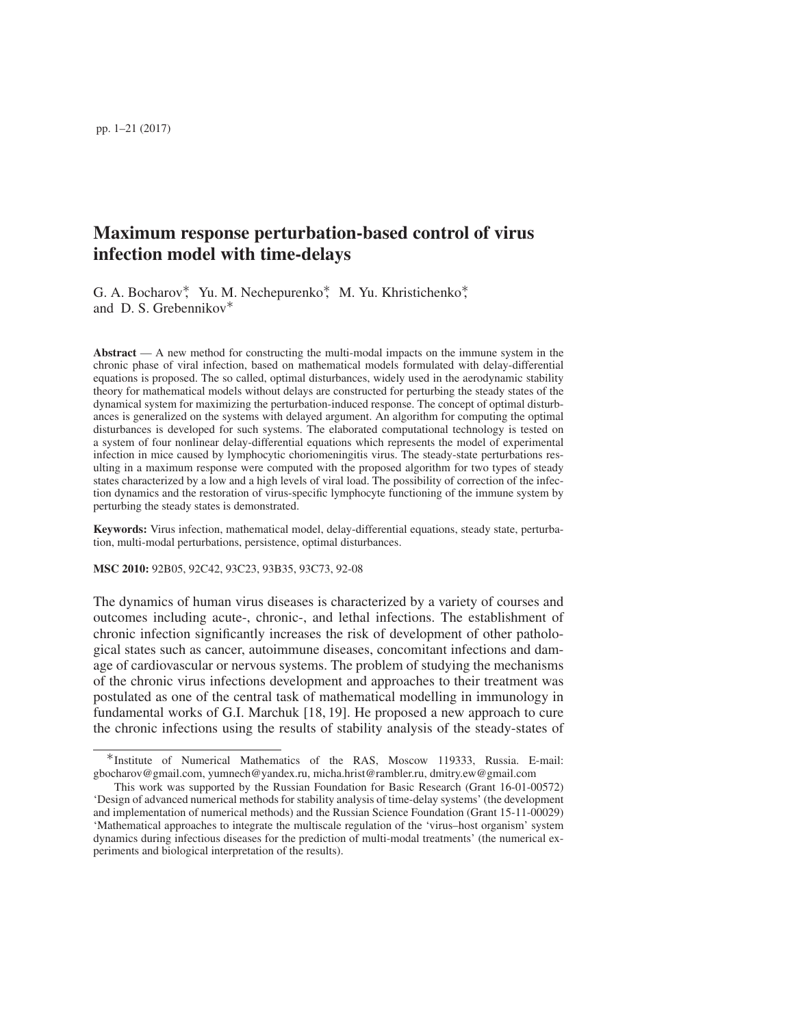# Maximum response perturbation-based control of virus infection model with time-delays

G. A. Bocharov<sup>\*</sup>, Yu. M. Nechepurenko<sup>\*</sup>, M. Yu. Khristichenko<sup>\*</sup>, and D. S. Grebennikov∗

Abstract  $-$  A new method for constructing the multi-modal impacts on the immune system in the chronic phase of viral infection, based on mathematical models formulated with delay-differential equations is proposed. The so called, optimal disturbances, widely used in the aerodynamic stability theory for mathematical models without delays are constructed for perturbing the steady states of the dynamical system for maximizing the perturbation-induced response. The concept of optimal disturbances is generalized on the systems with delayed argument. An algorithm for computing the optimal disturbances is developed for such systems. The elaborated computational technology is tested on a system of four nonlinear delay-differential equations which represents the model of experimental infection in mice caused by lymphocytic choriomeningitis virus. The steady-state perturbations resulting in a maximum response were computed with the proposed algorithm for two types of steady states characterized by a low and a high levels of viral load. The possibility of correction of the infection dynamics and the restoration of virus-specific lymphocyte functioning of the immune system by perturbing the steady states is demonstrated.

Keywords: Virus infection, mathematical model, delay-differential equations, steady state, perturbation, multi-modal perturbations, persistence, optimal disturbances.

MSC 2010: 92B05, 92C42, 93C23, 93B35, 93C73, 92-08

The dynamics of human virus diseases is characterized by a variety of courses and outcomes including acute-, chronic-, and lethal infections. The establishment of chronic infection significantly increases the risk of development of other pathological states such as cancer, autoimmune diseases, concomitant infections and damage of cardiovascular or nervous systems. The problem of studying the mechanisms of the chronic virus infections development and approaches to their treatment was postulated as one of the central task of mathematical modelling in immunology in fundamental works of G.I. Marchuk [18, 19]. He proposed a new approach to cure the chronic infections using the results of stability analysis of the steady-states of

<sup>∗</sup>Institute of Numerical Mathematics of the RAS, Moscow 119333, Russia. E-mail: gbocharov@gmail.com, yumnech@yandex.ru, micha.hrist@rambler.ru, dmitry.ew@gmail.com

This work was supported by the Russian Foundation for Basic Research (Grant 16-01-00572) 'Design of advanced numerical methods for stability analysis of time-delay systems' (the development and implementation of numerical methods) and the Russian Science Foundation (Grant 15-11-00029) 'Mathematical approaches to integrate the multiscale regulation of the 'virus–host organism' system dynamics during infectious diseases for the prediction of multi-modal treatments' (the numerical experiments and biological interpretation of the results).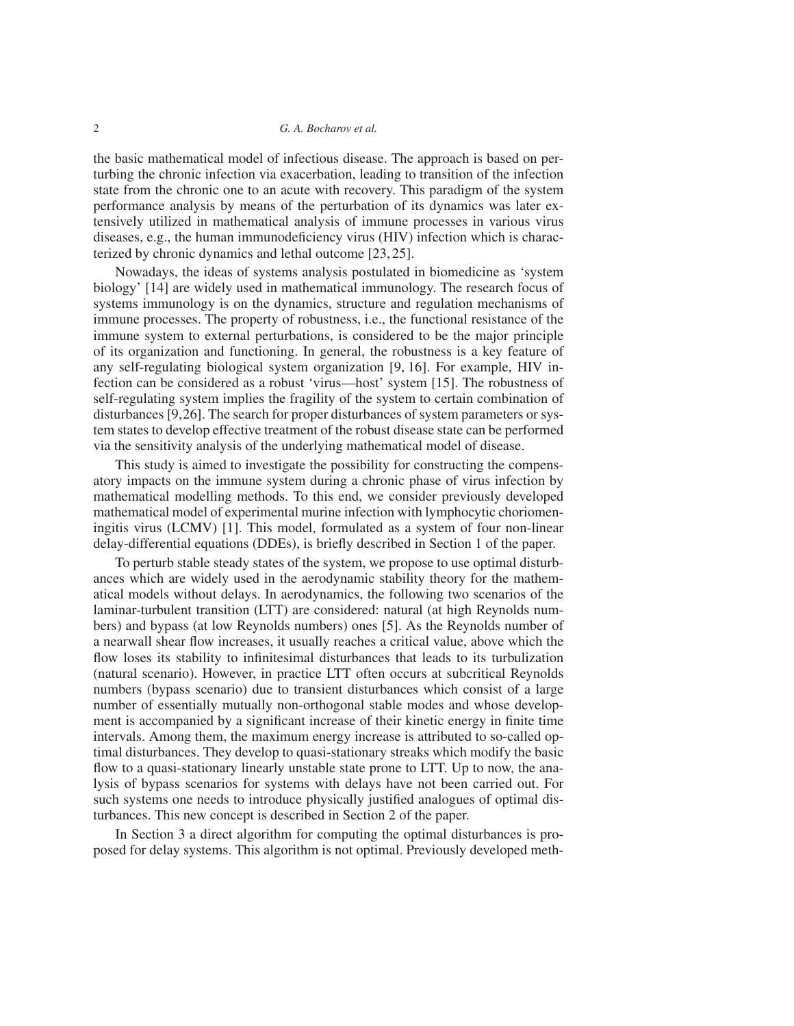the basic mathematical model of infectious disease. The approach is based on perturbing the chronic infection via exacerbation, leading to transition of the infection state from the chronic one to an acute with recovery. This paradigm of the system performance analysis by means of the perturbation of its dynamics was later extensively utilized in mathematical analysis of immune processes in various virus diseases, e.g., the human immunodeficiency virus (HIV) infection which is characterized by chronic dynamics and lethal outcome [23, 25].

Nowadays, the ideas of systems analysis postulated in biomedicine as 'system biology' [14] are widely used in mathematical immunology. The research focus of systems immunology is on the dynamics, structure and regulation mechanisms of immune processes. The property of robustness, i.e., the functional resistance of the immune system to external perturbations, is considered to be the major principle of its organization and functioning. In general, the robustness is a key feature of any self-regulating biological system organization [9, 16]. For example, HIV infection can be considered as a robust 'virus—host' system [15]. The robustness of self-regulating system implies the fragility of the system to certain combination of disturbances [9,26]. The search for proper disturbances of system parameters or system states to develop effective treatment of the robust disease state can be performed via the sensitivity analysis of the underlying mathematical model of disease.

This study is aimed to investigate the possibility for constructing the compensatory impacts on the immune system during a chronic phase of virus infection by mathematical modelling methods. To this end, we consider previously developed mathematical model of experimental murine infection with lymphocytic choriomeningitis virus (LCMV) [1]. This model, formulated as a system of four non-linear delay-differential equations (DDEs), is briefly described in Section 1 of the paper.

To perturb stable steady states of the system, we propose to use optimal disturbances which are widely used in the aerodynamic stability theory for the mathematical models without delays. In aerodynamics, the following two scenarios of the laminar-turbulent transition (LTT) are considered: natural (at high Reynolds numbers) and bypass (at low Reynolds numbers) ones [5]. As the Reynolds number of a nearwall shear flow increases, it usually reaches a critical value, above which the flow loses its stability to infinitesimal disturbances that leads to its turbulization (natural scenario). However, in practice LTT often occurs at subcritical Reynolds numbers (bypass scenario) due to transient disturbances which consist of a large number of essentially mutually non-orthogonal stable modes and whose development is accompanied by a significant increase of their kinetic energy in finite time intervals. Among them, the maximum energy increase is attributed to so-called optimal disturbances. They develop to quasi-stationary streaks which modify the basic flow to a quasi-stationary linearly unstable state prone to LTT. Up to now, the analysis of bypass scenarios for systems with delays have not been carried out. For such systems one needs to introduce physically justified analogues of optimal disturbances. This new concept is described in Section 2 of the paper.

In Section 3 a direct algorithm for computing the optimal disturbances is proposed for delay systems. This algorithm is not optimal. Previously developed meth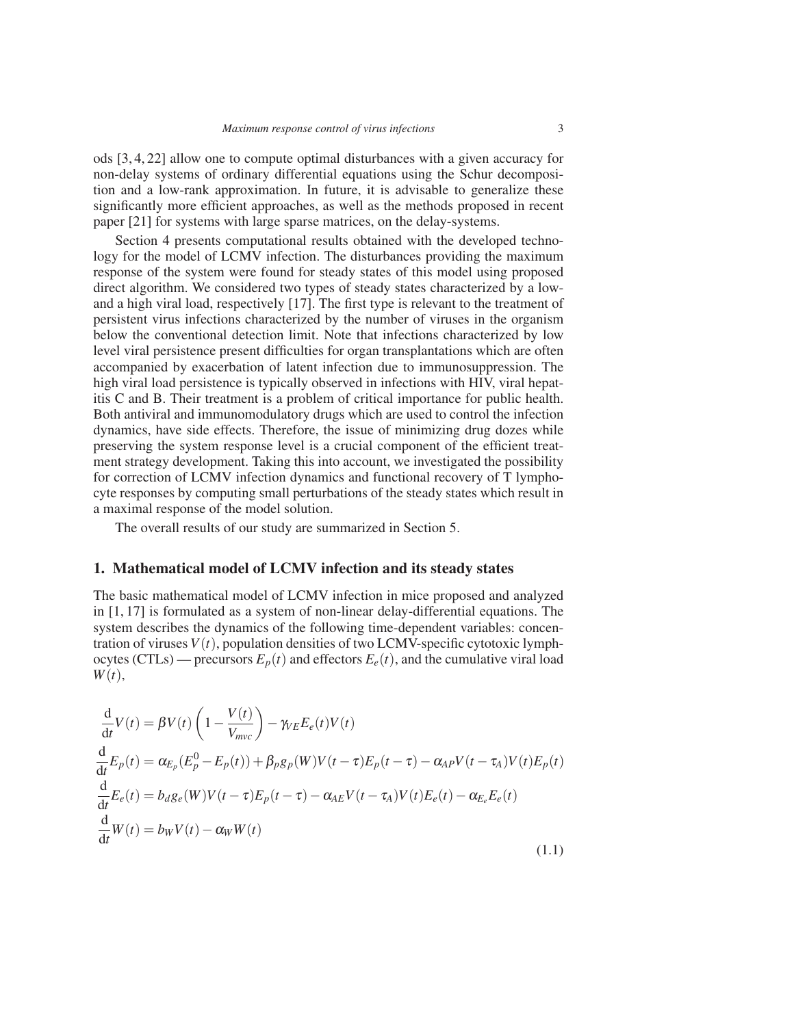ods [3, 4, 22] allow one to compute optimal disturbances with a given accuracy for non-delay systems of ordinary differential equations using the Schur decomposition and a low-rank approximation. In future, it is advisable to generalize these significantly more efficient approaches, as well as the methods proposed in recent paper [21] for systems with large sparse matrices, on the delay-systems.

Section 4 presents computational results obtained with the developed technology for the model of LCMV infection. The disturbances providing the maximum response of the system were found for steady states of this model using proposed direct algorithm. We considered two types of steady states characterized by a lowand a high viral load, respectively [17]. The first type is relevant to the treatment of persistent virus infections characterized by the number of viruses in the organism below the conventional detection limit. Note that infections characterized by low level viral persistence present difficulties for organ transplantations which are often accompanied by exacerbation of latent infection due to immunosuppression. The high viral load persistence is typically observed in infections with HIV, viral hepatitis C and B. Their treatment is a problem of critical importance for public health. Both antiviral and immunomodulatory drugs which are used to control the infection dynamics, have side effects. Therefore, the issue of minimizing drug dozes while preserving the system response level is a crucial component of the efficient treatment strategy development. Taking this into account, we investigated the possibility for correction of LCMV infection dynamics and functional recovery of T lymphocyte responses by computing small perturbations of the steady states which result in a maximal response of the model solution.

The overall results of our study are summarized in Section 5.

## 1. Mathematical model of LCMV infection and its steady states

The basic mathematical model of LCMV infection in mice proposed and analyzed in [1, 17] is formulated as a system of non-linear delay-differential equations. The system describes the dynamics of the following time-dependent variables: concentration of viruses  $V(t)$ , population densities of two LCMV-specific cytotoxic lymphocytes (CTLs) — precursors  $E_p(t)$  and effectors  $E_e(t)$ , and the cumulative viral load *W*(*t*),

$$
\frac{d}{dt}V(t) = \beta V(t) \left(1 - \frac{V(t)}{V_{mvc}}\right) - \gamma_{E}E_{e}(t)V(t)
$$
\n
$$
\frac{d}{dt}E_{p}(t) = \alpha_{E_{p}}(E_{p}^{0} - E_{p}(t)) + \beta_{p}g_{p}(W)V(t - \tau)E_{p}(t - \tau) - \alpha_{AP}V(t - \tau_{A})V(t)E_{p}(t)
$$
\n
$$
\frac{d}{dt}E_{e}(t) = b_{d}g_{e}(W)V(t - \tau)E_{p}(t - \tau) - \alpha_{AE}V(t - \tau_{A})V(t)E_{e}(t) - \alpha_{E_{e}}E_{e}(t)
$$
\n
$$
\frac{d}{dt}W(t) = b_{W}V(t) - \alpha_{W}W(t)
$$
\n(1.1)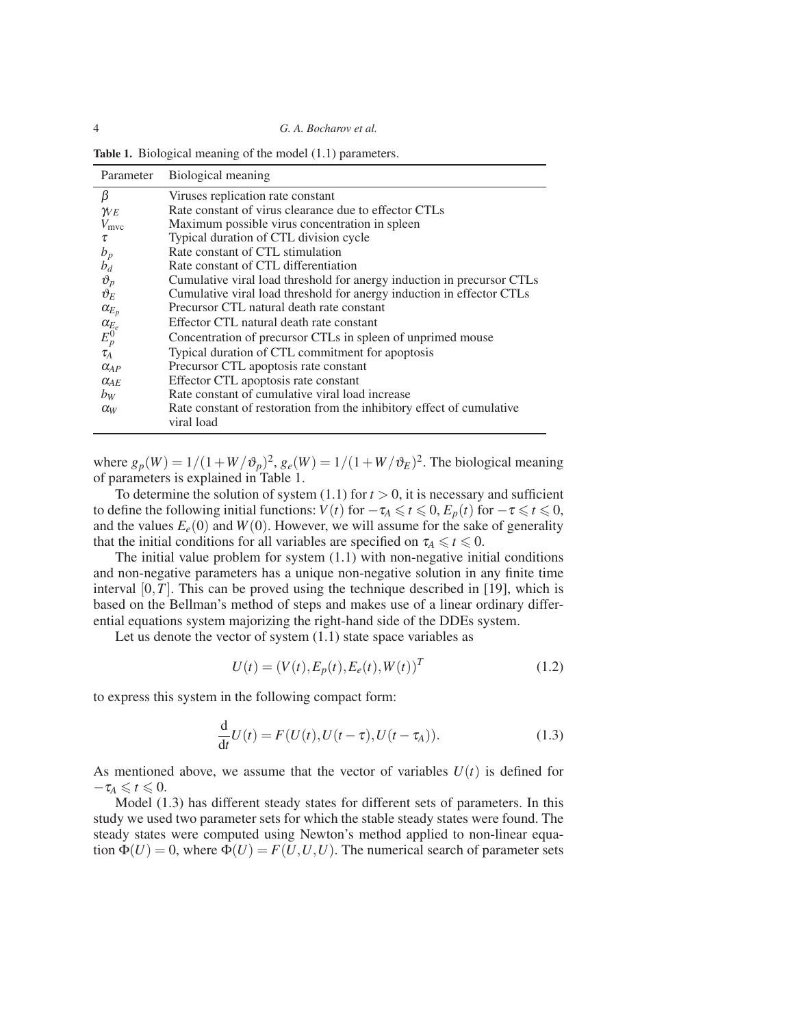Table 1. Biological meaning of the model (1.1) parameters.

| Parameter                                                          | Biological meaning                                                     |
|--------------------------------------------------------------------|------------------------------------------------------------------------|
| β                                                                  | Viruses replication rate constant                                      |
| $\gamma_{VE}$                                                      | Rate constant of virus clearance due to effector CTLs                  |
| $V_{\text{mvc}}$                                                   | Maximum possible virus concentration in spleen                         |
| τ                                                                  | Typical duration of CTL division cycle                                 |
| $b_p$                                                              | Rate constant of CTL stimulation                                       |
| $b_d$                                                              | Rate constant of CTL differentiation                                   |
| $\vartheta_p$                                                      | Cumulative viral load threshold for anergy induction in precursor CTLs |
| $\vartheta_F$                                                      | Cumulative viral load threshold for anergy induction in effector CTLs  |
|                                                                    | Precursor CTL natural death rate constant                              |
| $\begin{array}{l} \alpha_{E_p}\\ \alpha_{E_e}\\ E_p^0 \end{array}$ | Effector CTL natural death rate constant                               |
|                                                                    | Concentration of precursor CTLs in spleen of unprimed mouse            |
| $\tau_A$                                                           | Typical duration of CTL commitment for apoptosis                       |
| $\alpha_{AP}$                                                      | Precursor CTL apoptosis rate constant                                  |
| $\alpha_{AF}$                                                      | Effector CTL apoptosis rate constant                                   |
| $b_W$                                                              | Rate constant of cumulative viral load increase                        |
| $\alpha_W$                                                         | Rate constant of restoration from the inhibitory effect of cumulative  |
|                                                                    | viral load                                                             |

where  $g_p(W) = 1/(1+W/\vartheta_p)^2$ ,  $g_e(W) = 1/(1+W/\vartheta_E)^2$ . The biological meaning of parameters is explained in Table 1.

To determine the solution of system  $(1.1)$  for  $t > 0$ , it is necessary and sufficient to define the following initial functions:  $V(t)$  for  $-\tau_A \le t \le 0$ ,  $E_p(t)$  for  $-\tau \le t \le 0$ , and the values  $E_e(0)$  and  $W(0)$ . However, we will assume for the sake of generality that the initial conditions for all variables are specified on  $\tau_A \le t \le 0$ .

The initial value problem for system (1.1) with non-negative initial conditions and non-negative parameters has a unique non-negative solution in any finite time interval  $[0, T]$ . This can be proved using the technique described in [19], which is based on the Bellman's method of steps and makes use of a linear ordinary differential equations system majorizing the right-hand side of the DDEs system.

Let us denote the vector of system (1.1) state space variables as

$$
U(t) = (V(t), E_p(t), E_e(t), W(t))^T
$$
\n(1.2)

to express this system in the following compact form:

$$
\frac{\mathrm{d}}{\mathrm{d}t}U(t) = F(U(t), U(t-\tau), U(t-\tau_A)).\tag{1.3}
$$

As mentioned above, we assume that the vector of variables  $U(t)$  is defined for  $-\tau_A \leqslant t \leqslant 0.$ 

Model (1.3) has different steady states for different sets of parameters. In this study we used two parameter sets for which the stable steady states were found. The steady states were computed using Newton's method applied to non-linear equation  $\Phi(U) = 0$ , where  $\Phi(U) = F(U, U, U)$ . The numerical search of parameter sets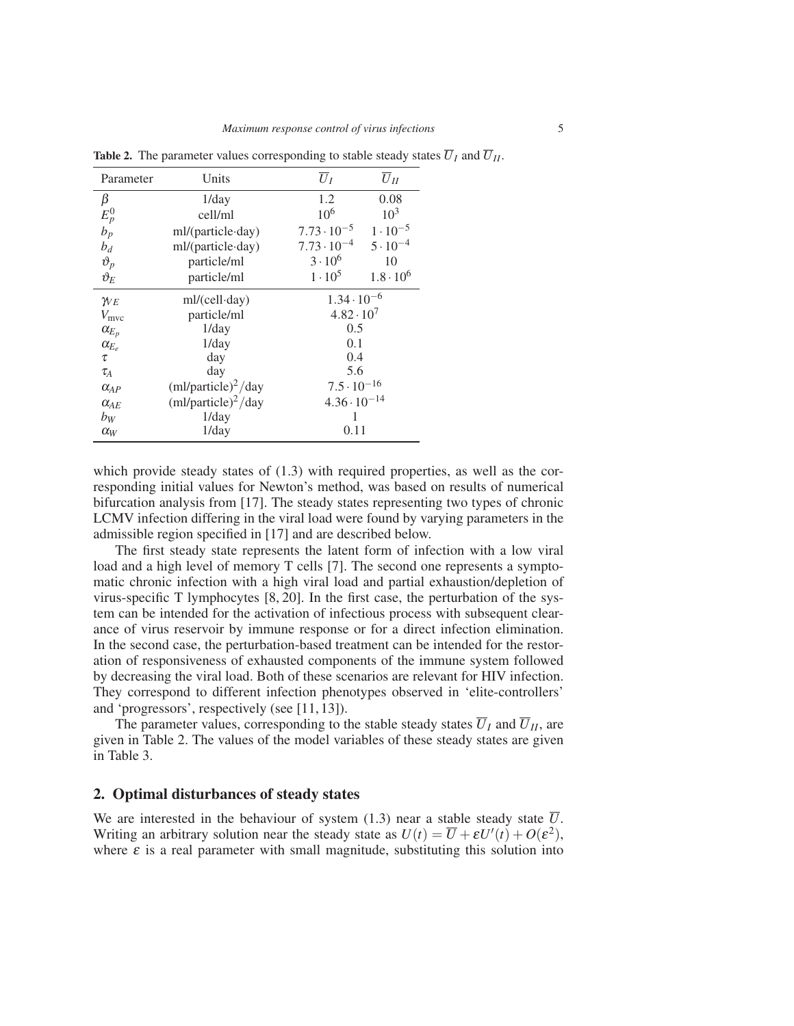| Parameter                        | Units                     | $\overline{U}_I$      | $\overline{U}_{II}$ |  |
|----------------------------------|---------------------------|-----------------------|---------------------|--|
| β                                | $1$ /day                  | 1.2                   | 0.08                |  |
| $E_p^0$                          | cell/ml                   | $10^{6}$              | $10^3$              |  |
| $b_p$                            | $ml/(particle \cdot day)$ | $7.73 \cdot 10^{-5}$  | $1 \cdot 10^{-5}$   |  |
| $b_d$                            | $ml/(particle \cdot day)$ | $7.73 \cdot 10^{-4}$  | $5 \cdot 10^{-4}$   |  |
| $\vartheta_p$                    | particle/ml               | $3 \cdot 10^6$        | 10                  |  |
| $\vartheta_E$                    | particle/ml               | $1 \cdot 10^5$        | $1.8 \cdot 10^{6}$  |  |
| $\gamma_{VE}$                    | $ml/(cell \cdot day)$     | $1.34 \cdot 10^{-6}$  |                     |  |
| $V_{\text{mvc}}$                 | particle/ml               | $4.82 \cdot 10^7$     |                     |  |
| $\alpha_{E_p}$                   | $1$ /day                  | 0.5                   |                     |  |
| $\alpha_{E_e}$                   | $1$ /day                  | 0.1                   |                     |  |
| τ                                | day                       | 0.4                   |                     |  |
| $\tau_A$                         | day                       | 5.6                   |                     |  |
| $\alpha_{AP}$                    | $(ml/particle)^2/day$     | $7.5 \cdot 10^{-16}$  |                     |  |
| $\alpha_{AF}$                    | $(ml/particle)^{2}/day$   | $4.36 \cdot 10^{-14}$ |                     |  |
| $b_W$                            | $1$ /day                  | 1                     |                     |  |
| $\alpha_{\scriptscriptstyle{W}}$ | $1$ /day                  | 0.11                  |                     |  |

**Table 2.** The parameter values corresponding to stable steady states  $\overline{U}_I$  and  $\overline{U}_{II}$ .

which provide steady states of  $(1.3)$  with required properties, as well as the corresponding initial values for Newton's method, was based on results of numerical bifurcation analysis from [17]. The steady states representing two types of chronic LCMV infection differing in the viral load were found by varying parameters in the admissible region specified in [17] and are described below.

The first steady state represents the latent form of infection with a low viral load and a high level of memory T cells [7]. The second one represents a symptomatic chronic infection with a high viral load and partial exhaustion/depletion of virus-specific T lymphocytes [8, 20]. In the first case, the perturbation of the system can be intended for the activation of infectious process with subsequent clearance of virus reservoir by immune response or for a direct infection elimination. In the second case, the perturbation-based treatment can be intended for the restoration of responsiveness of exhausted components of the immune system followed by decreasing the viral load. Both of these scenarios are relevant for HIV infection. They correspond to different infection phenotypes observed in 'elite-controllers' and 'progressors', respectively (see [11, 13]).

The parameter values, corresponding to the stable steady states  $\overline{U}_I$  and  $\overline{U}_{II}$ , are given in Table 2. The values of the model variables of these steady states are given in Table 3.

#### 2. Optimal disturbances of steady states

We are interested in the behaviour of system (1.3) near a stable steady state  $\overline{U}$ . Writing an arbitrary solution near the steady state as  $U(t) = \overline{U} + \varepsilon U'(t) + O(\varepsilon^2)$ , where  $\varepsilon$  is a real parameter with small magnitude, substituting this solution into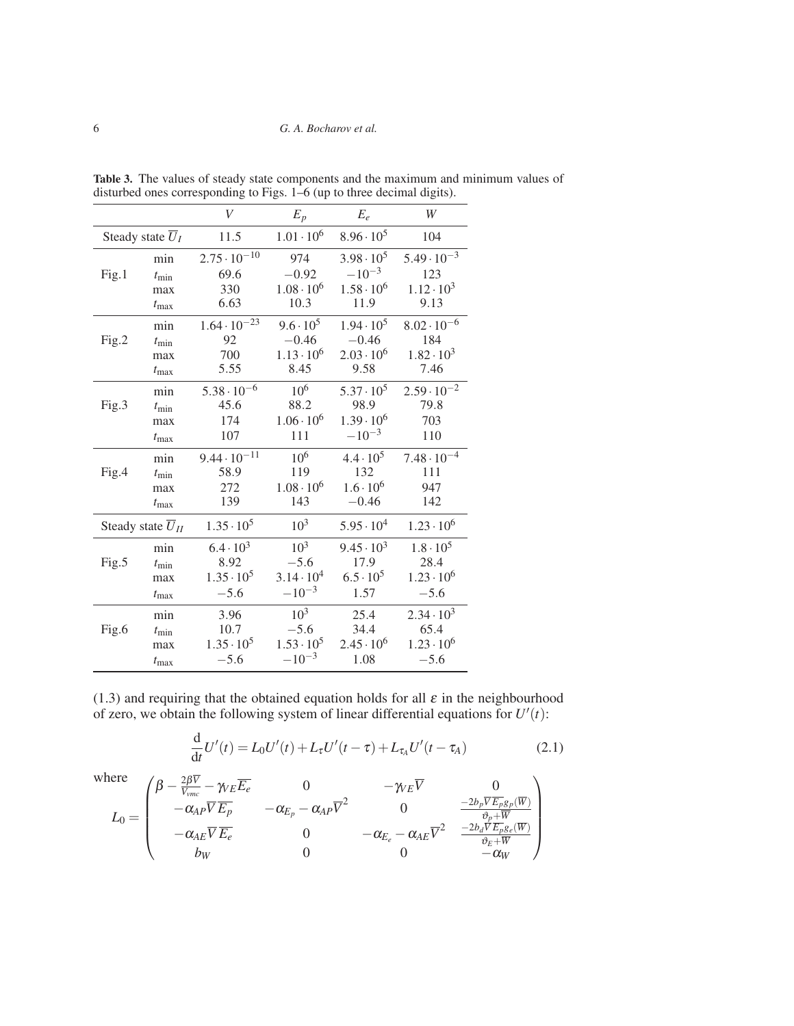|                                  |               | $\boldsymbol{V}$      | $E_p$               | $E_e$               | W                    |
|----------------------------------|---------------|-----------------------|---------------------|---------------------|----------------------|
| Steady state $\overline{U}_I$    |               | 11.5                  | $1.01 \cdot 10^{6}$ | $8.96 \cdot 10^{5}$ | 104                  |
|                                  | min           | $2.75 \cdot 10^{-10}$ | 974                 | $3.98 \cdot 10^5$   | $5.49 \cdot 10^{-3}$ |
| Fig.1                            | $t_{\min}$    | 69.6                  | $-0.92$             | $-10^{-3}$          | 123                  |
|                                  | max           | 330                   | $1.08 \cdot 10^{6}$ | $1.58 \cdot 10^{6}$ | $1.12 \cdot 10^3$    |
|                                  | $t_{\rm max}$ | 6.63                  | 10.3                | 11.9                | 9.13                 |
|                                  | min           | $1.64 \cdot 10^{-23}$ | $9.6 \cdot 10^5$    | $1.94 \cdot 10^5$   | $8.02 \cdot 10^{-6}$ |
| Fig.2                            | $t_{\min}$    | 92                    | $-0.46$             | $-0.46$             | 184                  |
|                                  | max           | 700                   | $1.13 \cdot 10^{6}$ | $2.03 \cdot 10^{6}$ | $1.82 \cdot 10^3$    |
|                                  | $t_{\rm max}$ | 5.55                  | 8.45                | 9.58                | 7.46                 |
|                                  | min           | $5.38 \cdot 10^{-6}$  | $10^{6}$            | $5.37 \cdot 10^5$   | $2.59 \cdot 10^{-2}$ |
| Fig.3                            | $t_{\rm min}$ | 45.6                  | 88.2                | 98.9                | 79.8                 |
|                                  | max           | 174                   | $1.06 \cdot 10^{6}$ | $1.39 \cdot 10^{6}$ | 703                  |
|                                  | $t_{\rm max}$ | 107                   | 111                 | $-10^{-3}$          | 110                  |
|                                  | min           | $9.44 \cdot 10^{-11}$ | $10^{6}$            | $4.4 \cdot 10^5$    | $7.48 \cdot 10^{-4}$ |
| Fig.4                            | $t_{\rm min}$ | 58.9                  | 119                 | 132                 | 111                  |
|                                  | max           | 272                   | $1.08 \cdot 10^6$   | $1.6 \cdot 10^{6}$  | 947                  |
|                                  | $t_{\rm max}$ | 139                   | 143                 | $-0.46$             | 142                  |
| Steady state $\overline{U}_{II}$ |               | $1.35 \cdot 10^{5}$   | $10^{3}$            | $5.95 \cdot 10^{4}$ | $1.23 \cdot 10^{6}$  |
|                                  | min           | $6.4 \cdot 10^{3}$    | $10^3$              | $9.45 \cdot 10^3$   | $1.8 \cdot 10^{5}$   |
| Fig.5                            | $t_{\rm min}$ | 8.92                  | $-5.6$              | 17.9                | 28.4                 |
|                                  | max           | $1.35 \cdot 10^5$     | $3.14 \cdot 10^{4}$ | $6.5 \cdot 10^{5}$  | $1.23 \cdot 10^6$    |
|                                  | $t_{\rm max}$ | $-5.6$                | $-10^{-3}$          | 1.57                | $-5.6$               |
|                                  | min           | 3.96                  | $10^{3}$            | 25.4                | $2.34 \cdot 10^3$    |
| Fig.6                            | $t_{\rm min}$ | 10.7                  | $-5.6$              | 34.4                | 65.4                 |
|                                  | max           | $1.35 \cdot 10^5$     | $1.53 \cdot 10^{5}$ | $2.45 \cdot 10^6$   | $1.23 \cdot 10^{6}$  |
|                                  | $t_{\rm max}$ | $-5.6$                | $-10^{-3}$          | 1.08                | $-5.6$               |

Table 3. The values of steady state components and the maximum and minimum values of disturbed ones corresponding to Figs. 1–6 (up to three decimal digits).

(1.3) and requiring that the obtained equation holds for all  $\varepsilon$  in the neighbourhood of zero, we obtain the following system of linear differential equations for  $U'(t)$ :

$$
\frac{d}{dt}U'(t) = L_0U'(t) + L_{\tau}U'(t - \tau) + L_{\tau_A}U'(t - \tau_A)
$$
\n(2.1)

where  
\n
$$
L_0 = \begin{pmatrix}\n\beta - \frac{2\beta \overline{V}}{V_{vmc}} - \gamma_{VE} \overline{E_e} & 0 & -\gamma_{VE} \overline{V} & 0 \\
- \alpha_{AP} \overline{V} \overline{E_p} & -\alpha_{E_p} - \alpha_{AP} \overline{V}^2 & 0 & \frac{-2b_p \overline{V} \overline{E_p} g_p(\overline{W})}{\vartheta_p + \overline{W}} \\
- \alpha_{AE} \overline{V} \overline{E_e} & 0 & -\alpha_{E_e} - \alpha_{AE} \overline{V}^2 & \frac{-2b_d \overline{V} \overline{E_p} g_e(\overline{W})}{\vartheta_E + \overline{W}} \\
b_W & 0 & 0 & -\alpha_W\n\end{pmatrix}
$$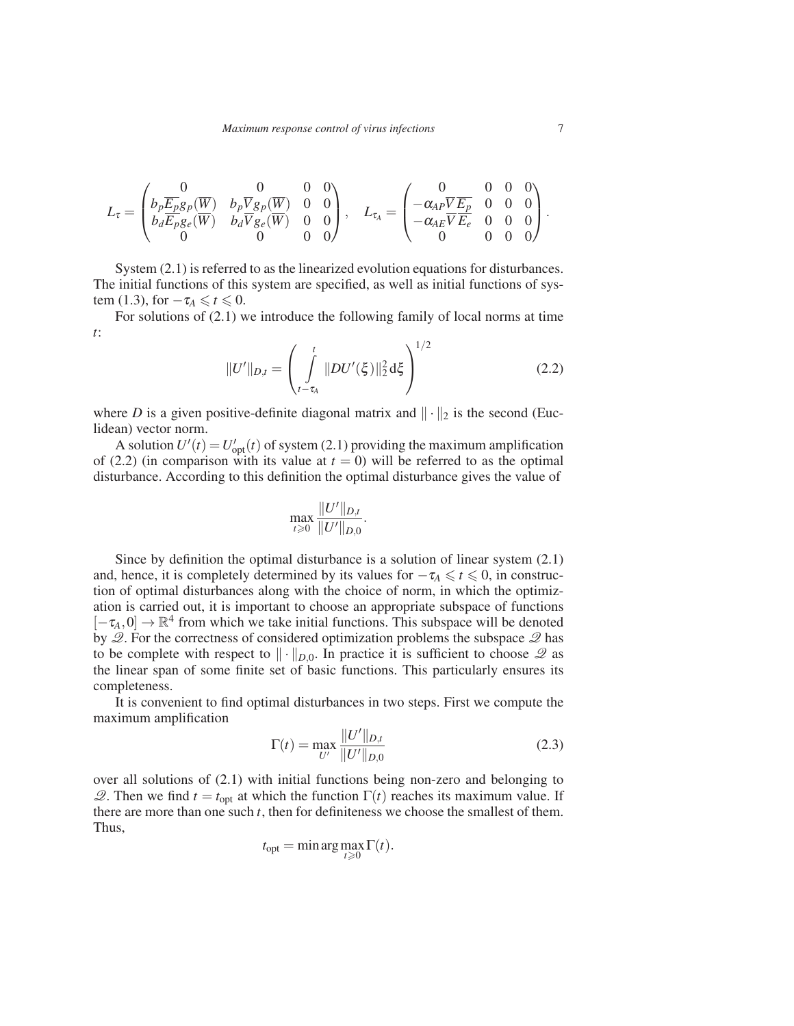$$
L_{\tau} = \begin{pmatrix} 0 & 0 & 0 & 0 \\ b_{p}\overline{E_{p}}g_{p}(\overline{W}) & b_{p}\overline{V}g_{p}(\overline{W}) & 0 & 0 \\ b_{d}\overline{E_{p}}g_{e}(\overline{W}) & b_{d}\overline{V}g_{e}(\overline{W}) & 0 & 0 \\ 0 & 0 & 0 & 0 \end{pmatrix}, \quad L_{\tau_{A}} = \begin{pmatrix} 0 & 0 & 0 & 0 \\ -\alpha_{AP}\overline{V}\overline{E_{p}} & 0 & 0 & 0 \\ -\alpha_{AE}\overline{V}\overline{E_{e}} & 0 & 0 & 0 \\ 0 & 0 & 0 & 0 \end{pmatrix}.
$$

System (2.1) is referred to as the linearized evolution equations for disturbances. The initial functions of this system are specified, as well as initial functions of system (1.3), for  $-\tau_A \leq t \leq 0$ .

For solutions of (2.1) we introduce the following family of local norms at time *t*:

$$
||U'||_{D,t} = \left(\int_{t-\tau_A}^t ||DU'(\xi)||_2^2 d\xi\right)^{1/2}
$$
 (2.2)

where *D* is a given positive-definite diagonal matrix and  $\|\cdot\|_2$  is the second (Euclidean) vector norm.

A solution  $U'(t) = U'_{opt}(t)$  of system (2.1) providing the maximum amplification of (2.2) (in comparison with its value at  $t = 0$ ) will be referred to as the optimal disturbance. According to this definition the optimal disturbance gives the value of

$$
\max_{t \geq 0} \frac{\|U'\|_{D,t}}{\|U'\|_{D,0}}.
$$

Since by definition the optimal disturbance is a solution of linear system (2.1) and, hence, it is completely determined by its values for  $-\tau_A \le t \le 0$ , in construction of optimal disturbances along with the choice of norm, in which the optimization is carried out, it is important to choose an appropriate subspace of functions  $[-\tau_A, 0] \to \mathbb{R}^4$  from which we take initial functions. This subspace will be denoted by  $\mathscr Q$ . For the correctness of considered optimization problems the subspace  $\mathscr Q$  has to be complete with respect to  $\|\cdot\|_{D,0}$ . In practice it is sufficient to choose  $\mathscr Q$  as the linear span of some finite set of basic functions. This particularly ensures its completeness.

It is convenient to find optimal disturbances in two steps. First we compute the maximum amplification

$$
\Gamma(t) = \max_{U'} \frac{\|U'\|_{D,t}}{\|U'\|_{D,0}}\tag{2.3}
$$

over all solutions of (2.1) with initial functions being non-zero and belonging to  $\mathcal{Q}$ . Then we find *t* = *t*<sub>opt</sub> at which the function Γ(*t*) reaches its maximum value. If there are more than one such *t*, then for definiteness we choose the smallest of them. Thus,

$$
t_{\rm opt} = \min \arg \max_{t \geq 0} \Gamma(t).
$$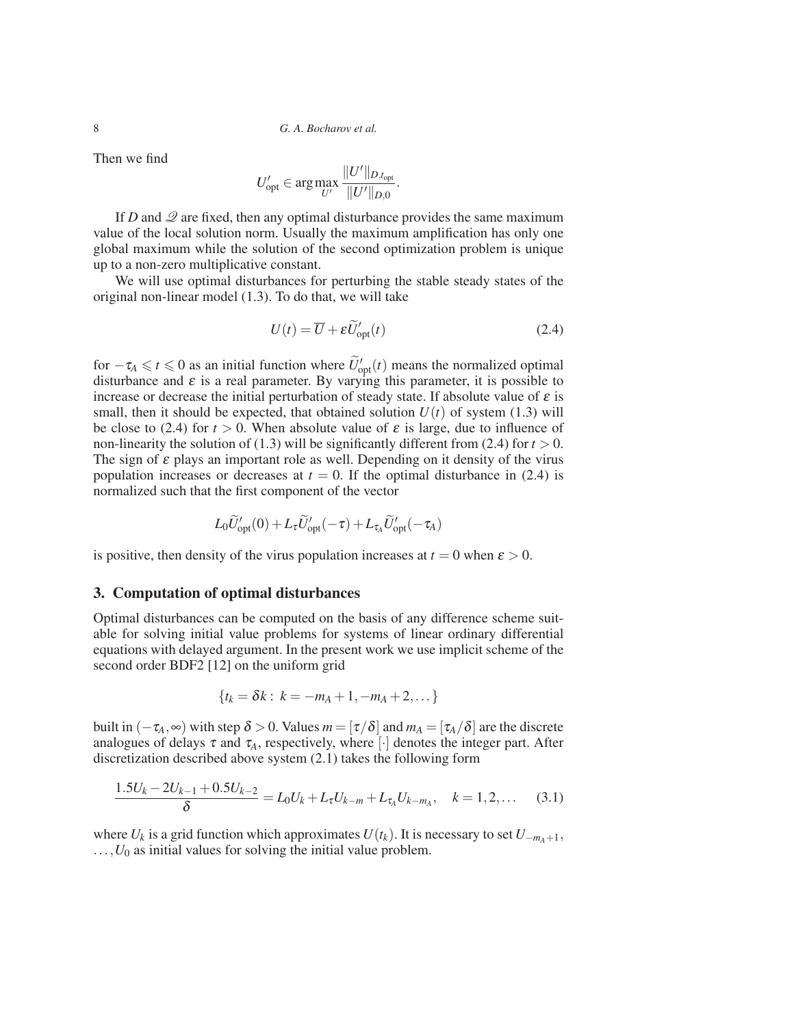Then we find

$$
U'_{\text{opt}} \in \arg\max_{U'} \frac{\|U'\|_{D,t_{\text{opt}}}}{\|U'\|_{D,0}}.
$$

If *D* and  $\mathscr Q$  are fixed, then any optimal disturbance provides the same maximum value of the local solution norm. Usually the maximum amplification has only one global maximum while the solution of the second optimization problem is unique up to a non-zero multiplicative constant.

We will use optimal disturbances for perturbing the stable steady states of the original non-linear model (1.3). To do that, we will take

$$
U(t) = \overline{U} + \varepsilon \widetilde{U}_{\text{opt}}'(t)
$$
\n(2.4)

for  $-\tau_A \leq t \leq 0$  as an initial function where  $\widetilde{U}'_{opt}(t)$  means the normalized optimal disturbance and  $\varepsilon$  is a real parameter. By varying this parameter, it is possible to increase or decrease the initial perturbation of steady state. If absolute value of  $\varepsilon$  is small, then it should be expected, that obtained solution  $U(t)$  of system (1.3) will be close to (2.4) for  $t > 0$ . When absolute value of  $\varepsilon$  is large, due to influence of non-linearity the solution of (1.3) will be significantly different from (2.4) for  $t > 0$ . The sign of  $\varepsilon$  plays an important role as well. Depending on it density of the virus population increases or decreases at  $t = 0$ . If the optimal disturbance in (2.4) is normalized such that the first component of the vector

$$
L_0 \widetilde{U}'_{\text{opt}}(0) + L_{\tau} \widetilde{U}'_{\text{opt}}(-\tau) + L_{\tau_A} \widetilde{U}'_{\text{opt}}(-\tau_A)
$$

is positive, then density of the virus population increases at  $t = 0$  when  $\varepsilon > 0$ .

#### 3. Computation of optimal disturbances

Optimal disturbances can be computed on the basis of any difference scheme suitable for solving initial value problems for systems of linear ordinary differential equations with delayed argument. In the present work we use implicit scheme of the second order BDF2 [12] on the uniform grid

$$
\{t_k = \delta k : k = -m_A + 1, -m_A + 2, \dots\}
$$

built in  $(-\tau_A, \infty)$  with step  $\delta > 0$ . Values  $m = [\tau/\delta]$  and  $m_A = [\tau_A/\delta]$  are the discrete analogues of delays  $\tau$  and  $\tau_A$ , respectively, where  $\lceil \cdot \rceil$  denotes the integer part. After discretization described above system (2.1) takes the following form

$$
\frac{1.5U_k - 2U_{k-1} + 0.5U_{k-2}}{\delta} = L_0 U_k + L_{\tau} U_{k-m} + L_{\tau_A} U_{k-m_A}, \quad k = 1, 2, \dots \quad (3.1)
$$

where  $U_k$  is a grid function which approximates  $U(t_k)$ . It is necessary to set  $U_{-m_A+1}$ ,  $\dots, U_0$  as initial values for solving the initial value problem.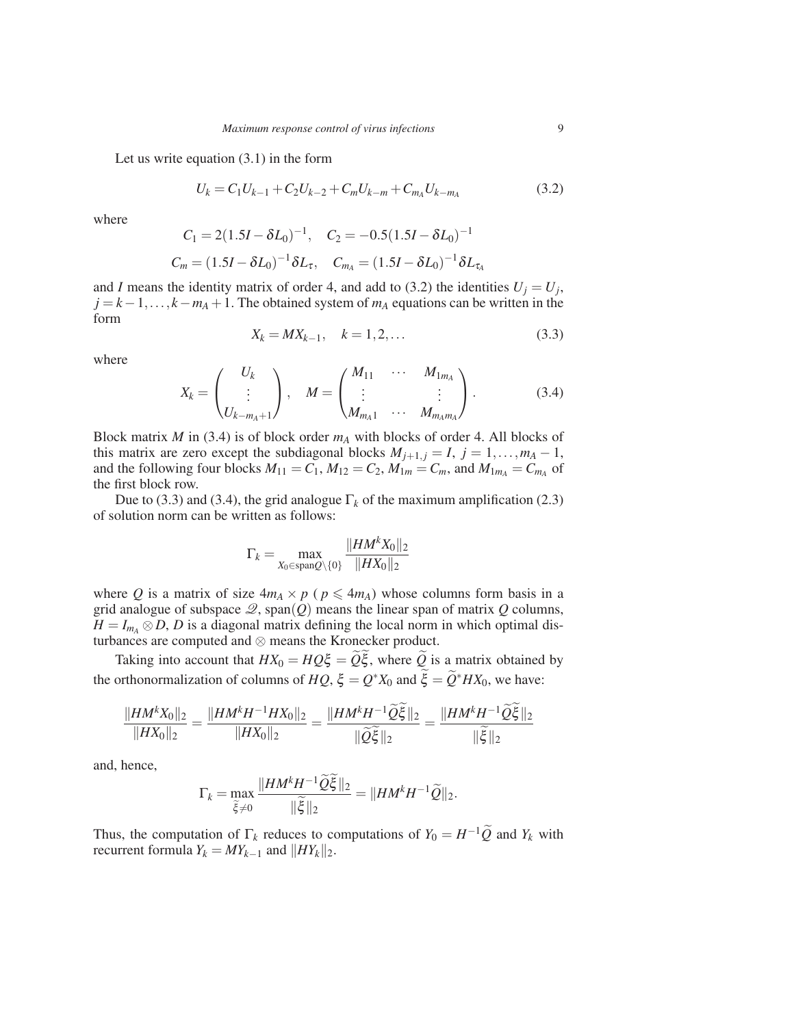Let us write equation (3.1) in the form

$$
U_k = C_1 U_{k-1} + C_2 U_{k-2} + C_m U_{k-m} + C_{m_A} U_{k-m_A}
$$
(3.2)

where

$$
C_1 = 2(1.5I - \delta L_0)^{-1}, \quad C_2 = -0.5(1.5I - \delta L_0)^{-1}
$$
  

$$
C_m = (1.5I - \delta L_0)^{-1} \delta L_{\tau}, \quad C_{m_A} = (1.5I - \delta L_0)^{-1} \delta L_{\tau_A}
$$

and *I* means the identity matrix of order 4, and add to (3.2) the identities  $U_j = U_j$ ,  $j = k-1, \ldots, k-m_A+1$ . The obtained system of  $m_A$  equations can be written in the form

$$
X_k = MX_{k-1}, \quad k = 1, 2, \dots \tag{3.3}
$$

where

$$
X_k = \begin{pmatrix} U_k \\ \vdots \\ U_{k-m_A+1} \end{pmatrix}, \quad M = \begin{pmatrix} M_{11} & \cdots & M_{1m_A} \\ \vdots & & \vdots \\ M_{m_A 1} & \cdots & M_{m_A m_A} \end{pmatrix}.
$$
 (3.4)

Block matrix *M* in (3.4) is of block order  $m_A$  with blocks of order 4. All blocks of this matrix are zero except the subdiagonal blocks  $M_{j+1,j} = I$ ,  $j = 1,...,m_A - 1$ , and the following four blocks  $M_{11} = C_1$ ,  $M_{12} = C_2$ ,  $M_{1m} = C_m$ , and  $M_{1m_A} = C_{m_A}$  of the first block row.

Due to (3.3) and (3.4), the grid analogue  $\Gamma_k$  of the maximum amplification (2.3) of solution norm can be written as follows:

$$
\Gamma_k = \max_{X_0 \in \text{span} Q \setminus \{0\}} \frac{\|HM^k X_0\|_2}{\|HX_0\|_2}
$$

where *Q* is a matrix of size  $4m_A \times p$  ( $p \le 4m_A$ ) whose columns form basis in a grid analogue of subspace  $\mathcal{Q}$ , span $(Q)$  means the linear span of matrix  $Q$  columns,  $H = I_{m_A} \otimes D$ , *D* is a diagonal matrix defining the local norm in which optimal disturbances are computed and ⊗ means the Kronecker product.

Taking into account that  $HX_0 = HQ\xi = Q\xi$ , where  $\tilde{Q}$  is a matrix obtained by the orthonormalization of columns of  $HQ$ ,  $\xi = Q^*X_0$  and  $\tilde{\xi} = \tilde{Q}^*HX_0$ , we have:

$$
\frac{\|HM^{k}X_{0}\|_{2}}{\|HX_{0}\|_{2}} = \frac{\|HM^{k}H^{-1}HX_{0}\|_{2}}{\|HX_{0}\|_{2}} = \frac{\|HM^{k}H^{-1}\widetilde{Q}\widetilde{\xi}\|_{2}}{\|\widetilde{Q}\widetilde{\xi}\|_{2}} = \frac{\|HM^{k}H^{-1}\widetilde{Q}\widetilde{\xi}\|_{2}}{\|\widetilde{\xi}\|_{2}}
$$

and, hence,

$$
\Gamma_k = \max_{\widetilde{\xi} \neq 0} \frac{\|HM^k H^{-1} \widetilde{Q} \widetilde{\xi}\|_2}{\|\widetilde{\xi}\|_2} = \|HM^k H^{-1} \widetilde{Q}\|_2.
$$

Thus, the computation of  $\Gamma_k$  reduces to computations of  $Y_0 = H^{-1}\widetilde{Q}$  and  $Y_k$  with recurrent formula  $Y_k = MY_{k-1}$  and  $||HY_k||_2$ .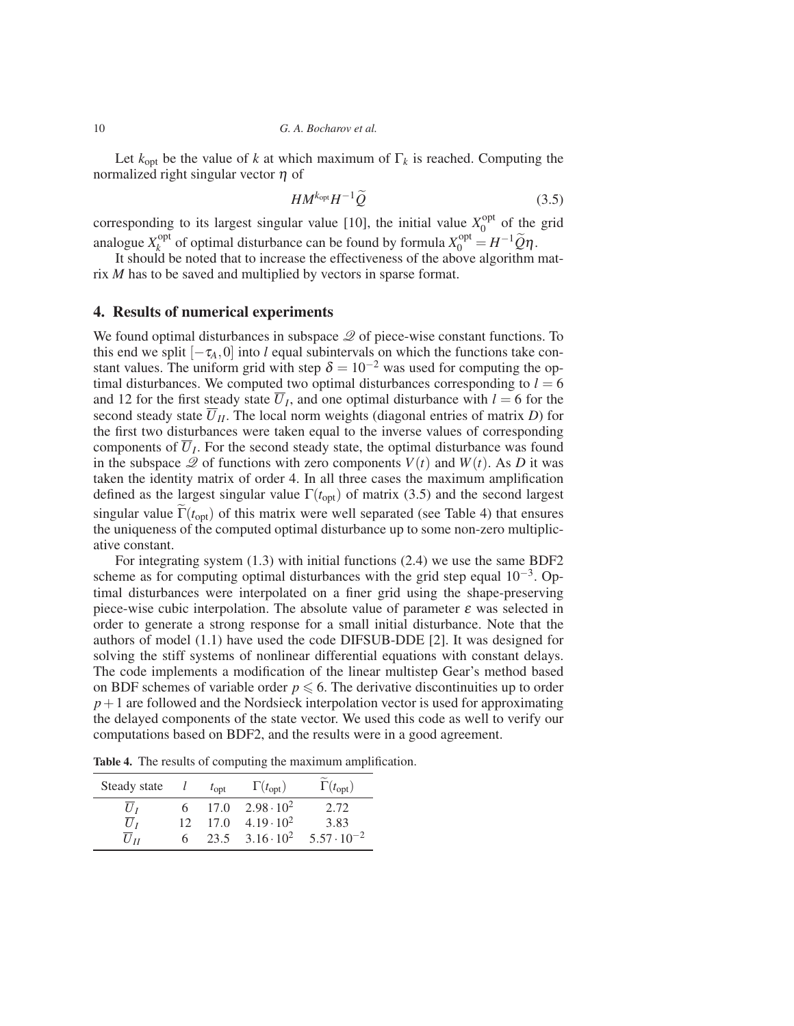Let  $k_{\text{opt}}$  be the value of *k* at which maximum of  $\Gamma_k$  is reached. Computing the normalized right singular vector  $\eta$  of

$$
HM^{k_{\rm opt}}H^{-1}\widetilde{Q}
$$
 (3.5)

corresponding to its largest singular value [10], the initial value  $X_0^{\text{opt}}$  of the grid 0 analogue  $X_k^{\text{opt}}$ <sup>opt</sup> of optimal disturbance can be found by formula  $X_0^{\text{opt}} = H^{-1} \widetilde{\mathcal{Q}} \eta$ .

It should be noted that to increase the effectiveness of the above algorithm matrix *M* has to be saved and multiplied by vectors in sparse format.

## 4. Results of numerical experiments

We found optimal disturbances in subspace  $\mathscr Q$  of piece-wise constant functions. To this end we split  $[-\tau_A, 0]$  into *l* equal subintervals on which the functions take constant values. The uniform grid with step  $\delta = 10^{-2}$  was used for computing the optimal disturbances. We computed two optimal disturbances corresponding to  $l = 6$ and 12 for the first steady state  $\overline{U}_I$ , and one optimal disturbance with  $l = 6$  for the second steady state  $\overline{U}_{II}$ . The local norm weights (diagonal entries of matrix *D*) for the first two disturbances were taken equal to the inverse values of corresponding components of  $\overline{U}_I$ . For the second steady state, the optimal disturbance was found in the subspace  $Q$  of functions with zero components  $V(t)$  and  $W(t)$ . As *D* it was taken the identity matrix of order 4. In all three cases the maximum amplification defined as the largest singular value  $\Gamma(t_{opt})$  of matrix (3.5) and the second largest singular value  $\widetilde{\Gamma}(t_{opt})$  of this matrix were well separated (see Table 4) that ensures the uniqueness of the computed optimal disturbance up to some non-zero multiplicative constant.

For integrating system (1.3) with initial functions (2.4) we use the same BDF2 scheme as for computing optimal disturbances with the grid step equal  $10^{-3}$ . Optimal disturbances were interpolated on a finer grid using the shape-preserving piece-wise cubic interpolation. The absolute value of parameter  $\varepsilon$  was selected in order to generate a strong response for a small initial disturbance. Note that the authors of model (1.1) have used the code DIFSUB-DDE [2]. It was designed for solving the stiff systems of nonlinear differential equations with constant delays. The code implements a modification of the linear multistep Gear's method based on BDF schemes of variable order  $p \leq 6$ . The derivative discontinuities up to order  $p+1$  are followed and the Nordsieck interpolation vector is used for approximating the delayed components of the state vector. We used this code as well to verify our computations based on BDF2, and the results were in a good agreement.

Table 4. The results of computing the maximum amplification.

| Steady state   |    | $t_{\rm opt}$ | $\Gamma(t_{\rm opt})$ | $\Gamma(t_{\rm opt})$ |
|----------------|----|---------------|-----------------------|-----------------------|
| U1             | 6. | 17.0          | $2.98 \cdot 10^{2}$   | 2.72                  |
| $\overline{U}$ | 12 | 17.0          | $4.19 \cdot 10^{2}$   | 3.83                  |
| $U_{II}$       | 6  | 23.5          | $3.16 \cdot 10^{2}$   | $5.57 \cdot 10^{-2}$  |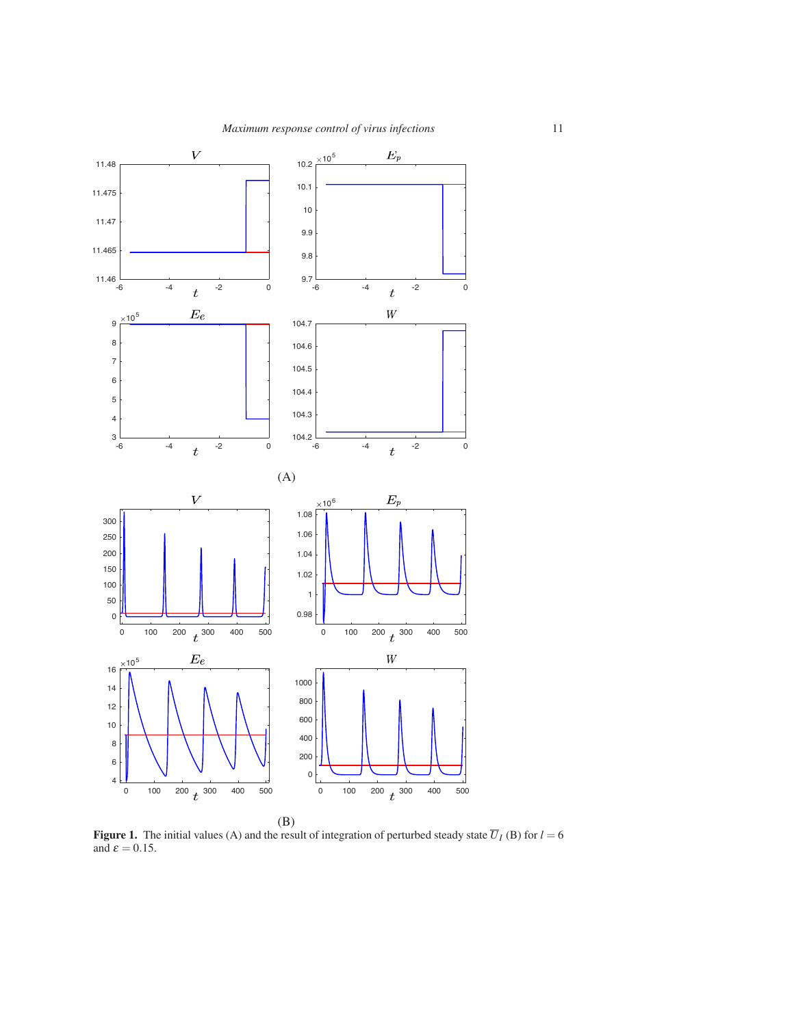

**Figure 1.** The initial values (A) and the result of integration of perturbed steady state  $\overline{U}_I$  (B) for  $l = 6$ and  $\varepsilon = 0.15$ .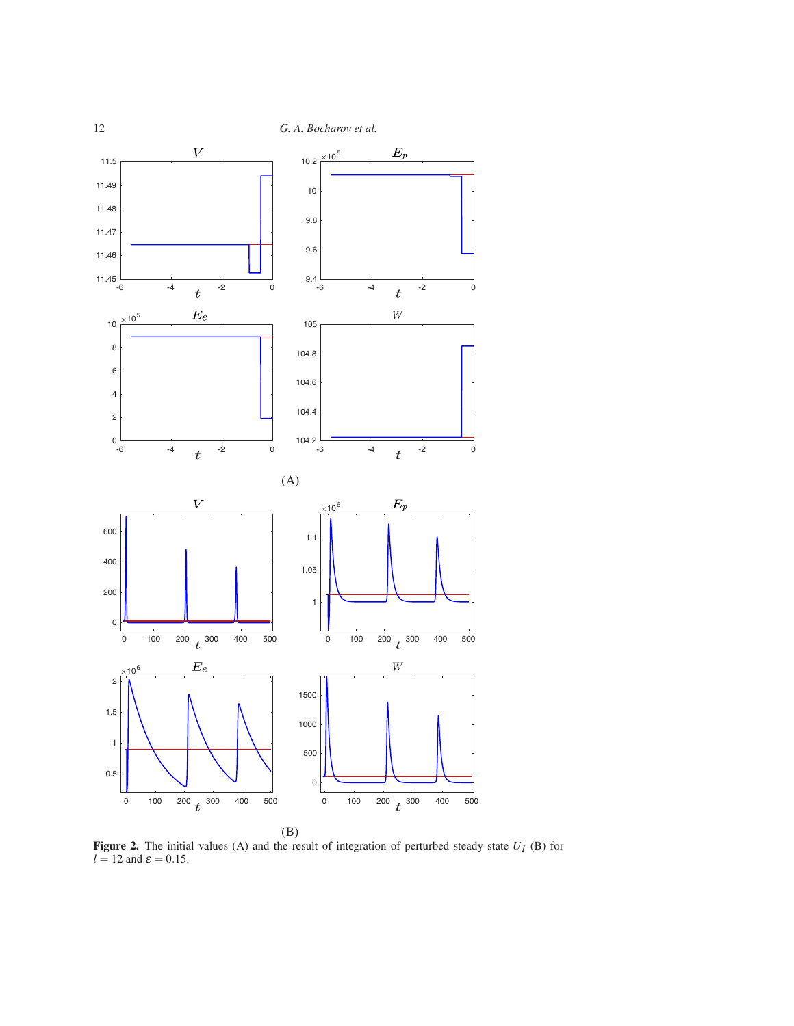



(B) **Figure 2.** The initial values (A) and the result of integration of perturbed steady state  $\overline{U}_I$  (B) for  $l = 12$  and  $\varepsilon = 0.15$ .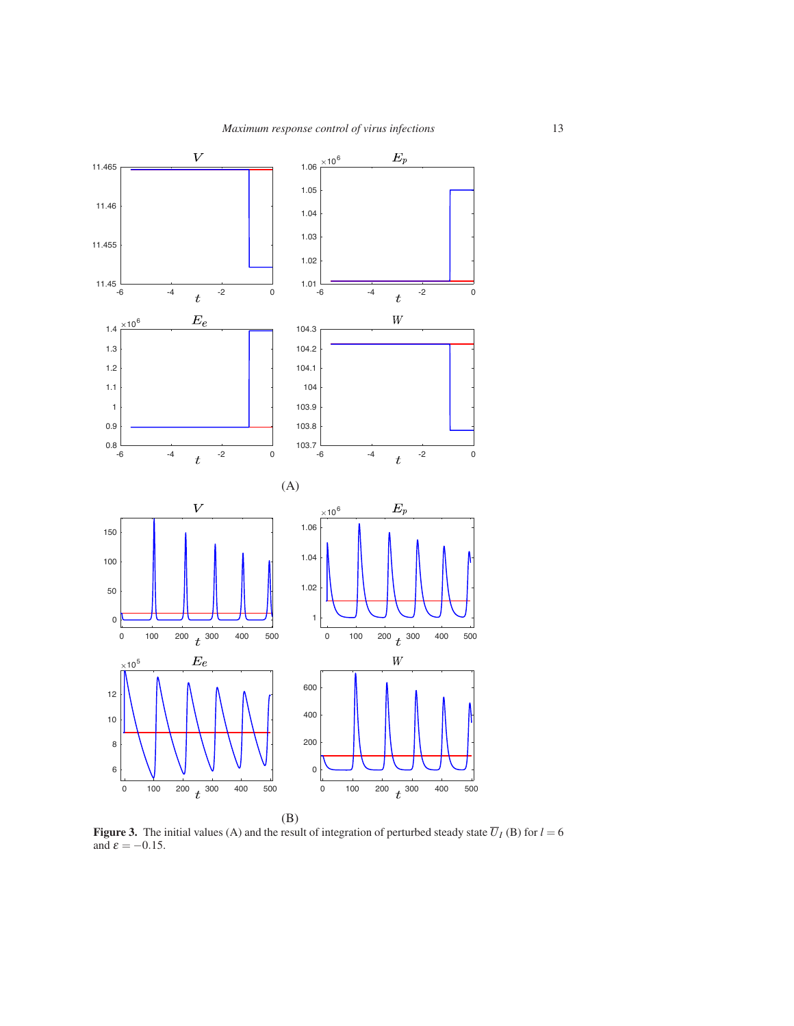

**Figure 3.** The initial values (A) and the result of integration of perturbed steady state  $\overline{U}_I$  (B) for  $l = 6$ and  $\varepsilon = -0.15$ .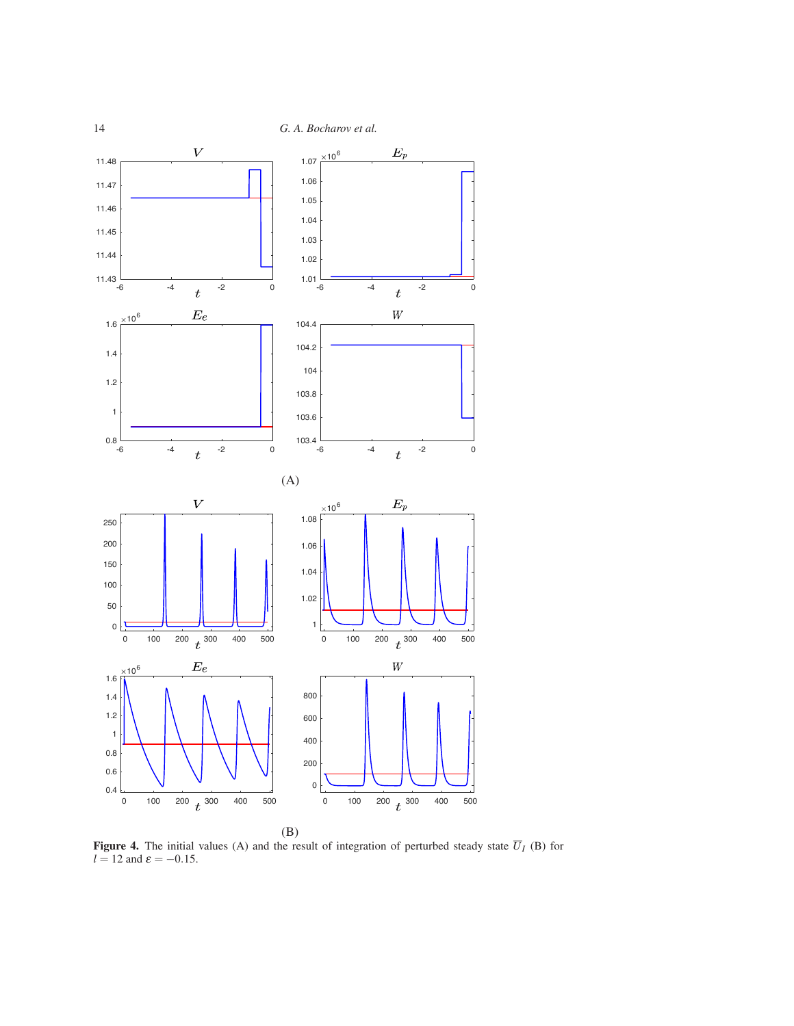



(B)

**Figure 4.** The initial values (A) and the result of integration of perturbed steady state  $\overline{U}_I$  (B) for  $l = 12$  and  $\varepsilon = -0.15$ .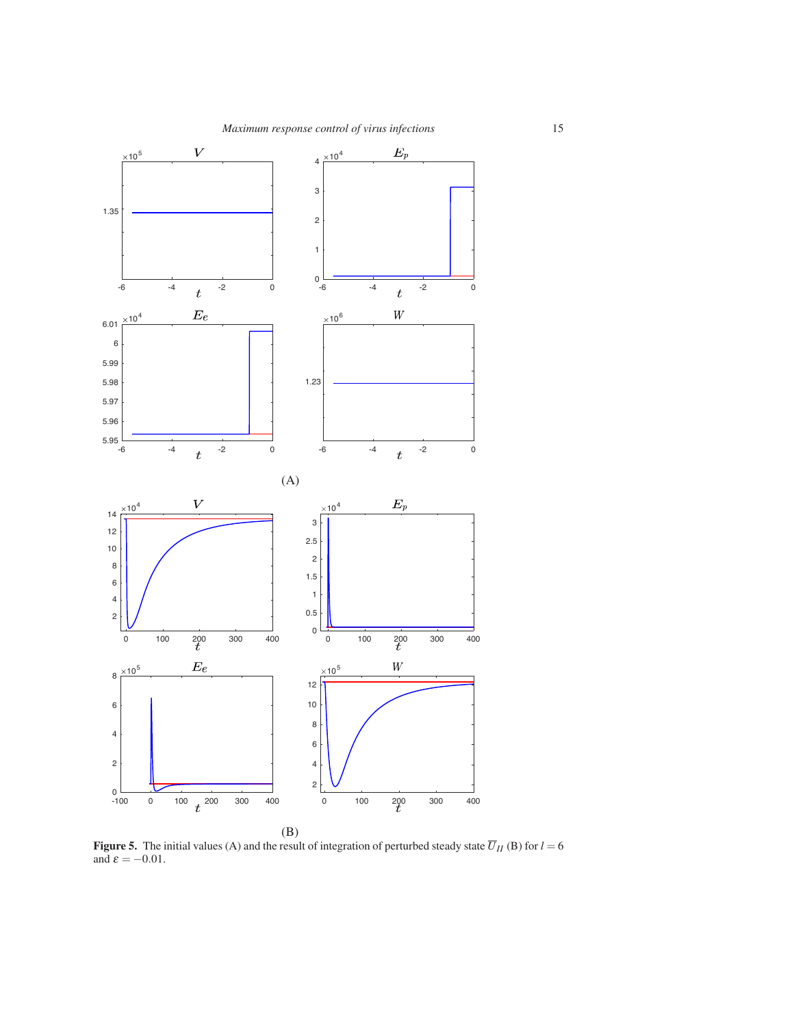

**Figure 5.** The initial values (A) and the result of integration of perturbed steady state  $\overline{U}_{II}$  (B) for  $l = 6$ and  $\varepsilon = -0.01$ .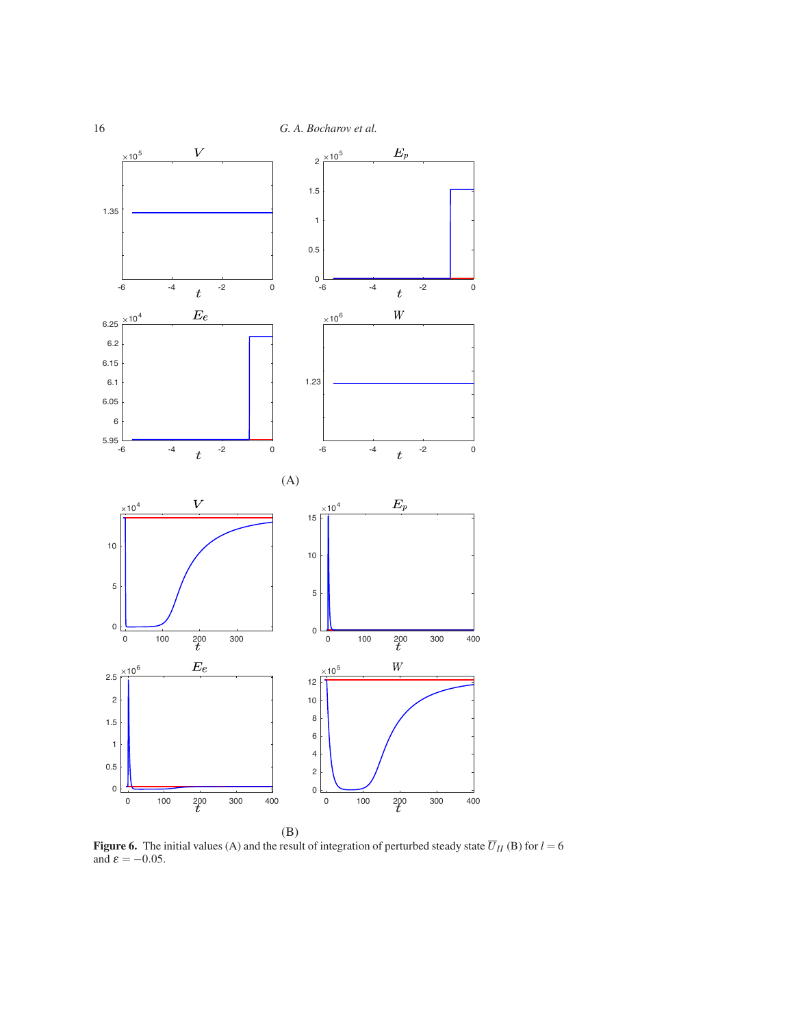

**Figure 6.** The initial values (A) and the result of integration of perturbed steady state  $\overline{U}_{II}$  (B) for  $l = 6$ and  $\varepsilon = -0.05$ .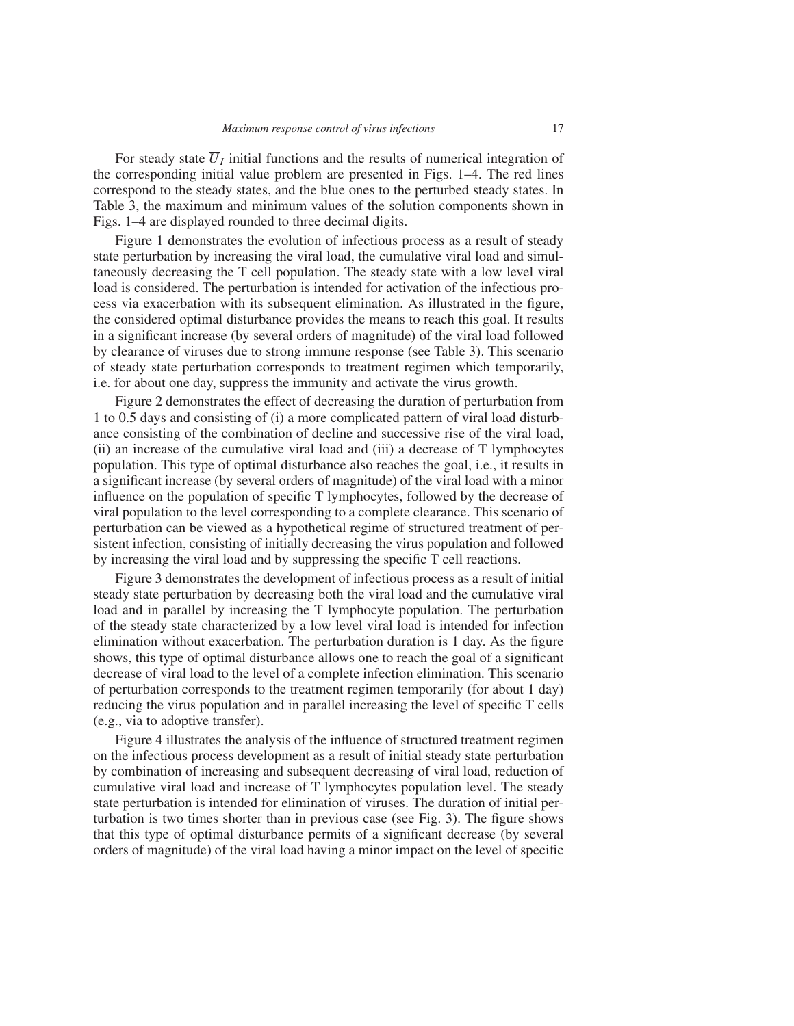For steady state  $\overline{U}_I$  initial functions and the results of numerical integration of the corresponding initial value problem are presented in Figs. 1–4. The red lines correspond to the steady states, and the blue ones to the perturbed steady states. In Table 3, the maximum and minimum values of the solution components shown in Figs. 1–4 are displayed rounded to three decimal digits.

Figure 1 demonstrates the evolution of infectious process as a result of steady state perturbation by increasing the viral load, the cumulative viral load and simultaneously decreasing the T cell population. The steady state with a low level viral load is considered. The perturbation is intended for activation of the infectious process via exacerbation with its subsequent elimination. As illustrated in the figure, the considered optimal disturbance provides the means to reach this goal. It results in a significant increase (by several orders of magnitude) of the viral load followed by clearance of viruses due to strong immune response (see Table 3). This scenario of steady state perturbation corresponds to treatment regimen which temporarily, i.e. for about one day, suppress the immunity and activate the virus growth.

Figure 2 demonstrates the effect of decreasing the duration of perturbation from 1 to 0.5 days and consisting of (i) a more complicated pattern of viral load disturbance consisting of the combination of decline and successive rise of the viral load, (ii) an increase of the cumulative viral load and (iii) a decrease of T lymphocytes population. This type of optimal disturbance also reaches the goal, i.e., it results in a significant increase (by several orders of magnitude) of the viral load with a minor influence on the population of specific T lymphocytes, followed by the decrease of viral population to the level corresponding to a complete clearance. This scenario of perturbation can be viewed as a hypothetical regime of structured treatment of persistent infection, consisting of initially decreasing the virus population and followed by increasing the viral load and by suppressing the specific T cell reactions.

Figure 3 demonstrates the development of infectious process as a result of initial steady state perturbation by decreasing both the viral load and the cumulative viral load and in parallel by increasing the T lymphocyte population. The perturbation of the steady state characterized by a low level viral load is intended for infection elimination without exacerbation. The perturbation duration is 1 day. As the figure shows, this type of optimal disturbance allows one to reach the goal of a significant decrease of viral load to the level of a complete infection elimination. This scenario of perturbation corresponds to the treatment regimen temporarily (for about 1 day) reducing the virus population and in parallel increasing the level of specific T cells (e.g., via to adoptive transfer).

Figure 4 illustrates the analysis of the influence of structured treatment regimen on the infectious process development as a result of initial steady state perturbation by combination of increasing and subsequent decreasing of viral load, reduction of cumulative viral load and increase of T lymphocytes population level. The steady state perturbation is intended for elimination of viruses. The duration of initial perturbation is two times shorter than in previous case (see Fig. 3). The figure shows that this type of optimal disturbance permits of a significant decrease (by several orders of magnitude) of the viral load having a minor impact on the level of specific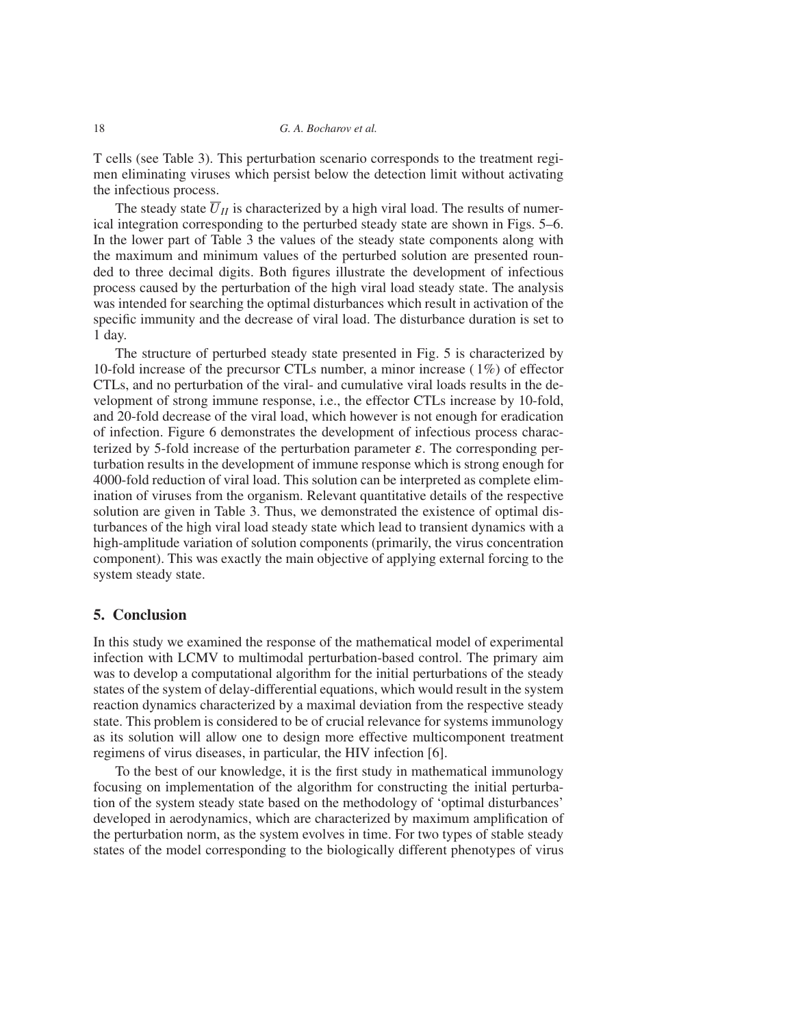T cells (see Table 3). This perturbation scenario corresponds to the treatment regimen eliminating viruses which persist below the detection limit without activating the infectious process.

The steady state  $\overline{U}_{II}$  is characterized by a high viral load. The results of numerical integration corresponding to the perturbed steady state are shown in Figs. 5–6. In the lower part of Table 3 the values of the steady state components along with the maximum and minimum values of the perturbed solution are presented rounded to three decimal digits. Both figures illustrate the development of infectious process caused by the perturbation of the high viral load steady state. The analysis was intended for searching the optimal disturbances which result in activation of the specific immunity and the decrease of viral load. The disturbance duration is set to 1 day.

The structure of perturbed steady state presented in Fig. 5 is characterized by 10-fold increase of the precursor CTLs number, a minor increase ( 1%) of effector CTLs, and no perturbation of the viral- and cumulative viral loads results in the development of strong immune response, i.e., the effector CTLs increase by 10-fold, and 20-fold decrease of the viral load, which however is not enough for eradication of infection. Figure 6 demonstrates the development of infectious process characterized by 5-fold increase of the perturbation parameter  $\varepsilon$ . The corresponding perturbation results in the development of immune response which is strong enough for 4000-fold reduction of viral load. This solution can be interpreted as complete elimination of viruses from the organism. Relevant quantitative details of the respective solution are given in Table 3. Thus, we demonstrated the existence of optimal disturbances of the high viral load steady state which lead to transient dynamics with a high-amplitude variation of solution components (primarily, the virus concentration component). This was exactly the main objective of applying external forcing to the system steady state.

#### 5. Conclusion

In this study we examined the response of the mathematical model of experimental infection with LCMV to multimodal perturbation-based control. The primary aim was to develop a computational algorithm for the initial perturbations of the steady states of the system of delay-differential equations, which would result in the system reaction dynamics characterized by a maximal deviation from the respective steady state. This problem is considered to be of crucial relevance for systems immunology as its solution will allow one to design more effective multicomponent treatment regimens of virus diseases, in particular, the HIV infection [6].

To the best of our knowledge, it is the first study in mathematical immunology focusing on implementation of the algorithm for constructing the initial perturbation of the system steady state based on the methodology of 'optimal disturbances' developed in aerodynamics, which are characterized by maximum amplification of the perturbation norm, as the system evolves in time. For two types of stable steady states of the model corresponding to the biologically different phenotypes of virus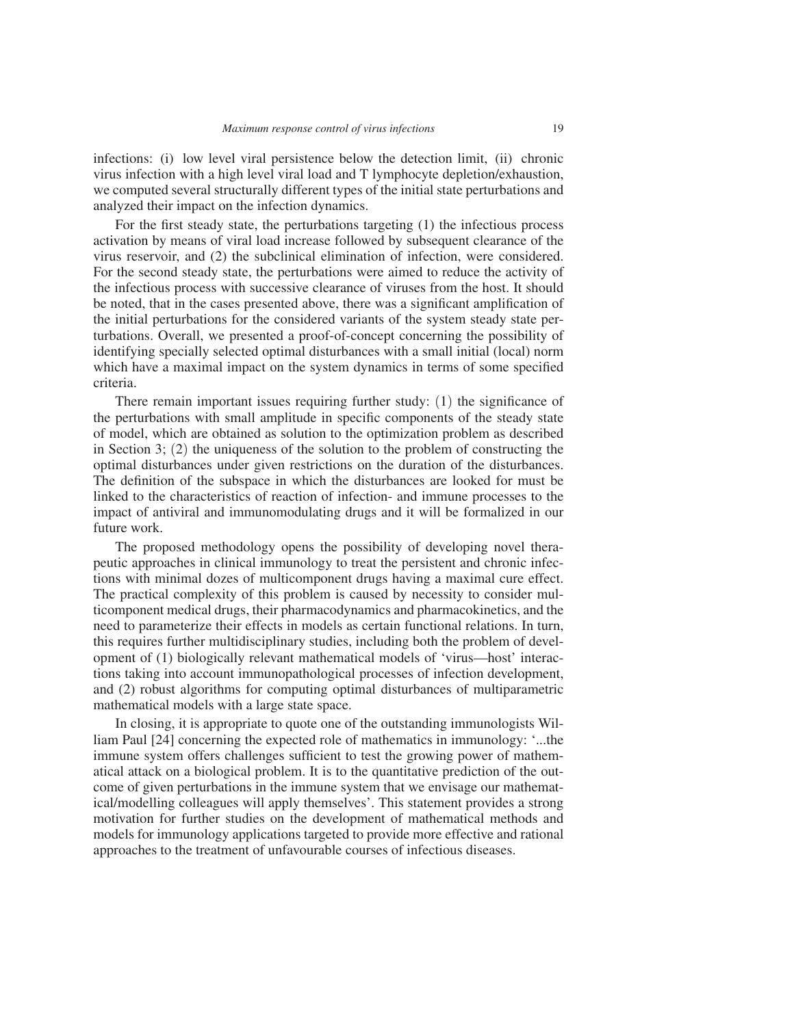infections: (i) low level viral persistence below the detection limit, (ii) chronic virus infection with a high level viral load and T lymphocyte depletion/exhaustion, we computed several structurally different types of the initial state perturbations and analyzed their impact on the infection dynamics.

For the first steady state, the perturbations targeting (1) the infectious process activation by means of viral load increase followed by subsequent clearance of the virus reservoir, and (2) the subclinical elimination of infection, were considered. For the second steady state, the perturbations were aimed to reduce the activity of the infectious process with successive clearance of viruses from the host. It should be noted, that in the cases presented above, there was a significant amplification of the initial perturbations for the considered variants of the system steady state perturbations. Overall, we presented a proof-of-concept concerning the possibility of identifying specially selected optimal disturbances with a small initial (local) norm which have a maximal impact on the system dynamics in terms of some specified criteria.

There remain important issues requiring further study: (1) the significance of the perturbations with small amplitude in specific components of the steady state of model, which are obtained as solution to the optimization problem as described in Section 3; (2) the uniqueness of the solution to the problem of constructing the optimal disturbances under given restrictions on the duration of the disturbances. The definition of the subspace in which the disturbances are looked for must be linked to the characteristics of reaction of infection- and immune processes to the impact of antiviral and immunomodulating drugs and it will be formalized in our future work.

The proposed methodology opens the possibility of developing novel therapeutic approaches in clinical immunology to treat the persistent and chronic infections with minimal dozes of multicomponent drugs having a maximal cure effect. The practical complexity of this problem is caused by necessity to consider multicomponent medical drugs, their pharmacodynamics and pharmacokinetics, and the need to parameterize their effects in models as certain functional relations. In turn, this requires further multidisciplinary studies, including both the problem of development of (1) biologically relevant mathematical models of 'virus—host' interactions taking into account immunopathological processes of infection development, and (2) robust algorithms for computing optimal disturbances of multiparametric mathematical models with a large state space.

In closing, it is appropriate to quote one of the outstanding immunologists William Paul [24] concerning the expected role of mathematics in immunology: '...the immune system offers challenges sufficient to test the growing power of mathematical attack on a biological problem. It is to the quantitative prediction of the outcome of given perturbations in the immune system that we envisage our mathematical/modelling colleagues will apply themselves'. This statement provides a strong motivation for further studies on the development of mathematical methods and models for immunology applications targeted to provide more effective and rational approaches to the treatment of unfavourable courses of infectious diseases.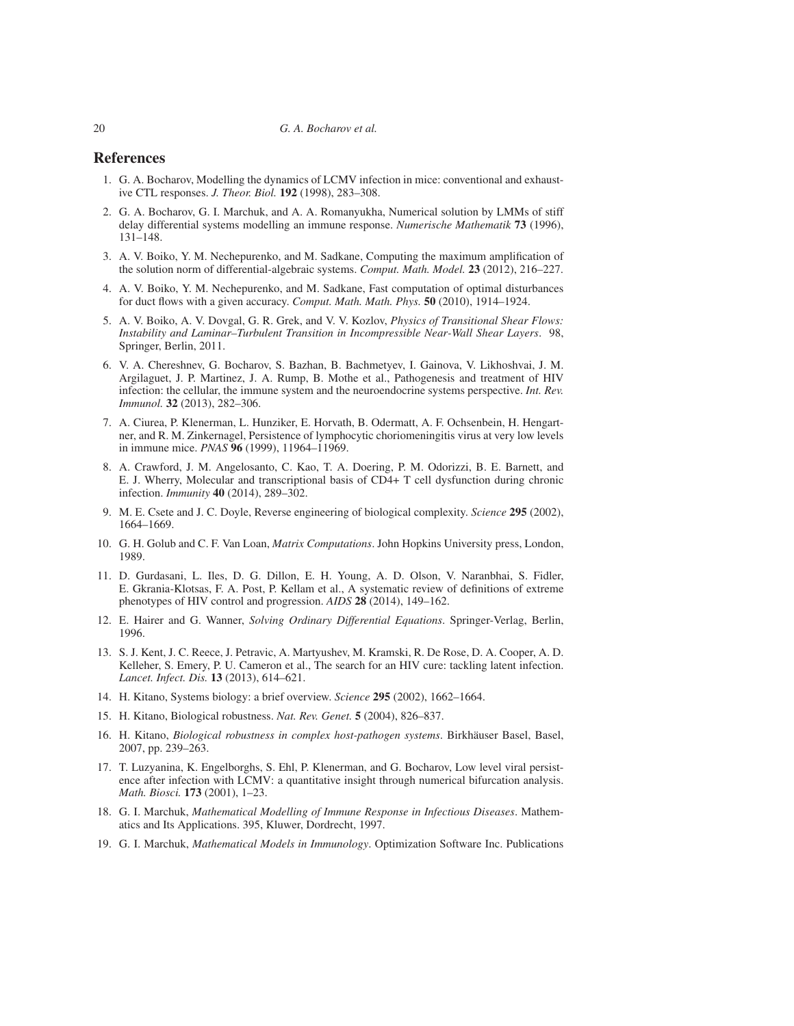#### References

- 1. G. A. Bocharov, Modelling the dynamics of LCMV infection in mice: conventional and exhaustive CTL responses. *J. Theor. Biol.* 192 (1998), 283–308.
- 2. G. A. Bocharov, G. I. Marchuk, and A. A. Romanyukha, Numerical solution by LMMs of stiff delay differential systems modelling an immune response. *Numerische Mathematik* 73 (1996), 131–148.
- 3. A. V. Boiko, Y. M. Nechepurenko, and M. Sadkane, Computing the maximum amplification of the solution norm of differential-algebraic systems. *Comput. Math. Model.* 23 (2012), 216–227.
- 4. A. V. Boiko, Y. M. Nechepurenko, and M. Sadkane, Fast computation of optimal disturbances for duct flows with a given accuracy. *Comput. Math. Math. Phys.* 50 (2010), 1914–1924.
- 5. A. V. Boiko, A. V. Dovgal, G. R. Grek, and V. V. Kozlov, *Physics of Transitional Shear Flows: Instability and Laminar–Turbulent Transition in Incompressible Near-Wall Shear Layers*. 98, Springer, Berlin, 2011.
- 6. V. A. Chereshnev, G. Bocharov, S. Bazhan, B. Bachmetyev, I. Gainova, V. Likhoshvai, J. M. Argilaguet, J. P. Martinez, J. A. Rump, B. Mothe et al., Pathogenesis and treatment of HIV infection: the cellular, the immune system and the neuroendocrine systems perspective. *Int. Rev. Immunol.* 32 (2013), 282–306.
- 7. A. Ciurea, P. Klenerman, L. Hunziker, E. Horvath, B. Odermatt, A. F. Ochsenbein, H. Hengartner, and R. M. Zinkernagel, Persistence of lymphocytic choriomeningitis virus at very low levels in immune mice. *PNAS* 96 (1999), 11964–11969.
- 8. A. Crawford, J. M. Angelosanto, C. Kao, T. A. Doering, P. M. Odorizzi, B. E. Barnett, and E. J. Wherry, Molecular and transcriptional basis of CD4+ T cell dysfunction during chronic infection. *Immunity* 40 (2014), 289–302.
- 9. M. E. Csete and J. C. Doyle, Reverse engineering of biological complexity. *Science* 295 (2002), 1664–1669.
- 10. G. H. Golub and C. F. Van Loan, *Matrix Computations*. John Hopkins University press, London, 1989.
- 11. D. Gurdasani, L. Iles, D. G. Dillon, E. H. Young, A. D. Olson, V. Naranbhai, S. Fidler, E. Gkrania-Klotsas, F. A. Post, P. Kellam et al., A systematic review of definitions of extreme phenotypes of HIV control and progression. *AIDS* 28 (2014), 149–162.
- 12. E. Hairer and G. Wanner, *Solving Ordinary Differential Equations*. Springer-Verlag, Berlin, 1996.
- 13. S. J. Kent, J. C. Reece, J. Petravic, A. Martyushev, M. Kramski, R. De Rose, D. A. Cooper, A. D. Kelleher, S. Emery, P. U. Cameron et al., The search for an HIV cure: tackling latent infection. *Lancet. Infect. Dis.* 13 (2013), 614–621.
- 14. H. Kitano, Systems biology: a brief overview. *Science* 295 (2002), 1662–1664.
- 15. H. Kitano, Biological robustness. *Nat. Rev. Genet.* 5 (2004), 826–837.
- 16. H. Kitano, *Biological robustness in complex host-pathogen systems*. Birkhäuser Basel, Basel, 2007, pp. 239–263.
- 17. T. Luzyanina, K. Engelborghs, S. Ehl, P. Klenerman, and G. Bocharov, Low level viral persistence after infection with LCMV: a quantitative insight through numerical bifurcation analysis. *Math. Biosci.* 173 (2001), 1–23.
- 18. G. I. Marchuk, *Mathematical Modelling of Immune Response in Infectious Diseases*. Mathematics and Its Applications. 395, Kluwer, Dordrecht, 1997.
- 19. G. I. Marchuk, *Mathematical Models in Immunology*. Optimization Software Inc. Publications